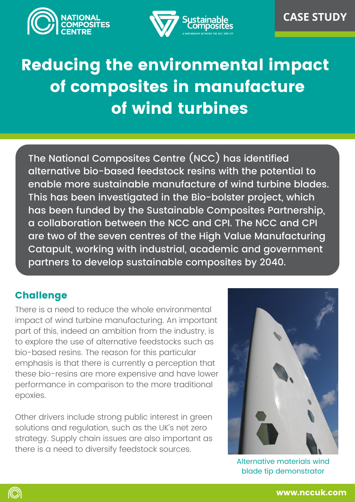



# Reducing the environmental impact of composites in manufacture of wind turbines

The National Composites Centre (NCC) has identified alternative bio-based feedstock resins with the potential to enable more sustainable manufacture of wind turbine blades. This has been investigated in the Bio-bolster project, which has been funded by the Sustainable Composites Partnership, a collaboration between the NCC and CPI. The NCC and CPI are two of the seven centres of the High Value Manufacturing Catapult, working with industrial, academic and government partners to develop sustainable composites by 2040.

# **Challenge**

©)

There is a need to reduce the whole environmental impact of wind turbine manufacturing. An important part of this, indeed an ambition from the industry, is to explore the use of alternative feedstocks such as bio-based resins. The reason for this particular emphasis is that there is currently a perception that these bio-resins are more expensive and have lower performance in comparison to the more traditional epoxies.

Other drivers include strong public interest in green solutions and regulation, such as the UK's net zero strategy. Supply chain issues are also important as there is a need to diversify feedstock sources.



Alternative materials wind blade tip demonstrator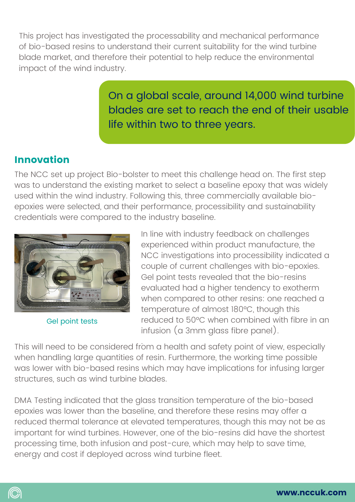This project has investigated the processability and mechanical performance of bio-based resins to understand their current suitability for the wind turbine blade market, and therefore their potential to help reduce the environmental impact of the wind industry.

> On a global scale, around 14,000 wind turbine blades are set to reach the end of their usable life within two to three years.

# Innovation

The NCC set up project Bio-bolster to meet this challenge head on. The first step was to understand the existing market to select a baseline epoxy that was widely used within the wind industry. Following this, three commercially available bioepoxies were selected, and their performance, processibility and sustainability credentials were compared to the industry baseline.



Gel point tests

©)

In line with industry feedback on challenges experienced within product manufacture, the NCC investigations into processibility indicated a couple of current challenges with bio-epoxies. Gel point tests revealed that the bio-resins evaluated had a higher tendency to exotherm when compared to other resins: one reached a temperature of almost 180°C, though this reduced to 50°C when combined with fibre in an infusion (a 3mm glass fibre panel).

. This will need to be considered from a health and safety point of view, especially when handling large quantities of resin. Furthermore, the working time possible was lower with bio-based resins which may have implications for infusing larger structures, such as wind turbine blades.

DMA Testing indicated that the glass transition temperature of the bio-based epoxies was lower than the baseline, and therefore these resins may offer a reduced thermal tolerance at elevated temperatures, though this may not be as important for wind turbines. However, one of the bio-resins did have the shortest processing time, both infusion and post-cure, which may help to save time, energy and cost if deployed across wind turbine fleet.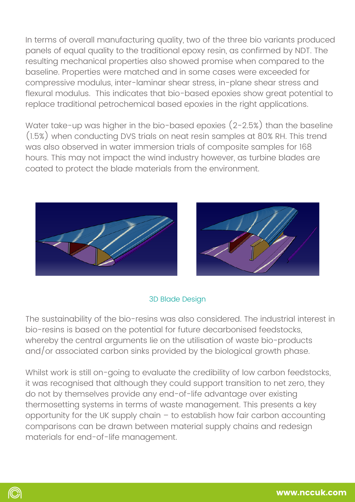In terms of overall manufacturing quality, two of the three bio variants produced panels of equal quality to the traditional epoxy resin, as confirmed by NDT. The resulting mechanical properties also showed promise when compared to the baseline. Properties were matched and in some cases were exceeded for compressive modulus, inter-laminar shear stress, in-plane shear stress and flexural modulus. This indicates that bio-based epoxies show great potential to replace traditional petrochemical based epoxies in the right applications.

Water take-up was higher in the bio-based epoxies (2-2.5%) than the baseline (1.5%) when conducting DVS trials on neat resin samples at 80% RH. This trend was also observed in water immersion trials of composite samples for 168 hours. This may not impact the wind industry however, as turbine blades are coated to protect the blade materials from the environment.





#### 3D Blade Design

The sustainability of the bio-resins was also considered. The industrial interest in bio-resins is based on the potential for future decarbonised feedstocks, whereby the central arguments lie on the utilisation of waste bio-products and/or associated carbon sinks provided by the biological growth phase.

Whilst work is still on-going to evaluate the credibility of low carbon feedstocks, it was recognised that although they could support transition to net zero, they do not by themselves provide any end-of-life advantage over existing thermosetting systems in terms of waste management. This presents a key opportunity for the UK supply chain – to establish how fair carbon accounting comparisons can be drawn between material supply chains and redesign materials for end-of-life management.

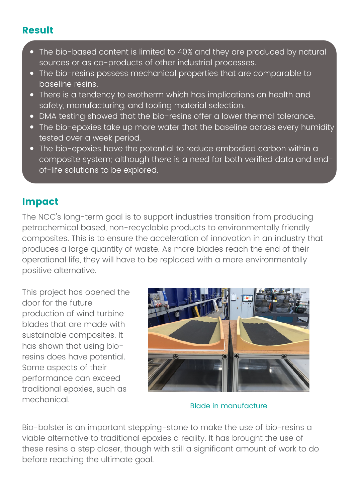### Result

- The bio-based content is limited to 40% and they are produced by natural sources or as co-products of other industrial processes.
- The bio-resins possess mechanical properties that are comparable to baseline resins.
- There is a tendency to exotherm which has implications on health and safety, manufacturing, and tooling material selection.
- DMA testing showed that the bio-resins offer a lower thermal tolerance.
- The bio-epoxies take up more water that the baseline across every humidity tested over a week period.
- The bio-epoxies have the potential to reduce embodied carbon within a composite system; although there is a need for both verified data and endof-life solutions to be explored.

## Impact

The NCC's long-term goal is to support industries transition from producing petrochemical based, non-recyclable products to environmentally friendly composites. This is to ensure the acceleration of innovation in an industry that produces a large quantity of waste. As more blades reach the end of their operational life, they will have to be replaced with a more environmentally positive alternative.

This project has opened the door for the future production of wind turbine blades that are made with sustainable composites. It has shown that using bioresins does have potential. Some aspects of their performance can exceed traditional epoxies, such as mechanical.



Blade in manufacture

Bio-bolster is an important stepping-stone to make the use of bio-resins a viable alternative to traditional epoxies a reality. It has brought the use of these resins a step closer, though with still a significant amount of work to do before reaching the ultimate goal.